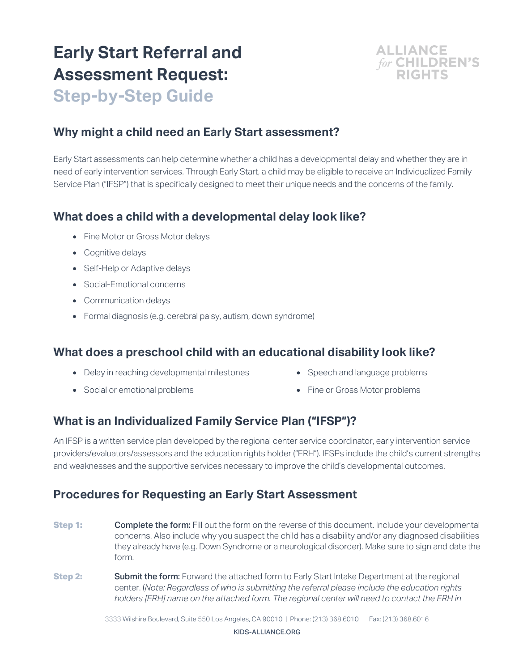# **Early Start Referral and Assessment Request:**



**Step-by-Step Guide**

# **Why might a child need an Early Start assessment?**

Early Start assessments can help determine whether a child has a developmental delay and whether they are in need of early intervention services. Through Early Start, a child may be eligible to receive an Individualized Family Service Plan ("IFSP") that is specifically designed to meet their unique needs and the concerns of the family.

# **What does a child with a developmental delay look like?**

- Fine Motor or Gross Motor delays
- Cognitive delays
- Self-Help or Adaptive delays
- Social-Emotional concerns
- Communication delays
- Formal diagnosis (e.g. cerebral palsy, autism, down syndrome)

#### **What does a preschool child with an educational disability look like?**

- Delay in reaching developmental milestones
- Social or emotional problems
- Speech and language problems
- Fine or Gross Motor problems

# **What is an Individualized Family Service Plan ("IFSP")?**

An IFSP is a written service plan developed by the regional center service coordinator, early intervention service providers/evaluators/assessors and the education rights holder ("ERH"). IFSPs include the child's current strengths and weaknesses and the supportive services necessary to improve the child's developmental outcomes.

# **Procedures for Requesting an Early Start Assessment**

- **Step 1: Complete the form:** Fill out the form on the reverse of this document. Include your developmental concerns. Also include why you suspect the child has a disability and/or any diagnosed disabilities they already have (e.g. Down Syndrome or a neurological disorder). Make sure to sign and date the form.
- **Step 2: Submit the form:** Forward the attached form to Early Start Intake Department at the regional center. (*Note: Regardless of who is submitting the referral please include the education rights holders [ERH] name on the attached form. The regional center will need to contact the ERH in*

3333 Wilshire Boulevard, Suite 550 Los Angeles, CA 90010 | Phone: (213) 368.6010 | Fax: (213) 368.6016

KIDS-ALLIANCE.ORG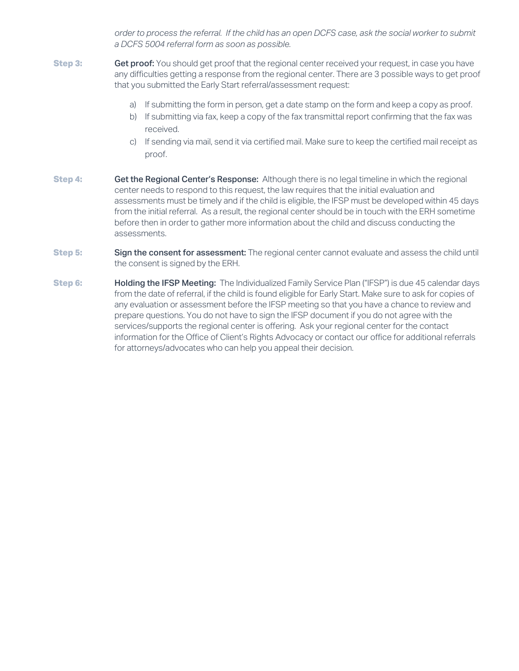*order to process the referral. If the child has an open DCFS case, ask the social worker to submit a DCFS 5004 referral form as soon as possible.*

- **Step 3: Get proof:** You should get proof that the regional center received your request, in case you have any difficulties getting a response from the regional center. There are 3 possible ways to get proof that you submitted the Early Start referral/assessment request:
	- a) If submitting the form in person, get a date stamp on the form and keep a copy as proof.
	- b) If submitting via fax, keep a copy of the fax transmittal report confirming that the fax was received.
	- c) If sending via mail, send it via certified mail. Make sure to keep the certified mail receipt as proof.
- **Step 4: Get the Regional Center's Response:** Although there is no legal timeline in which the regional center needs to respond to this request, the law requires that the initial evaluation and assessments must be timely and if the child is eligible, the IFSP must be developed within 45 days from the initial referral. As a result, the regional center should be in touch with the ERH sometime before then in order to gather more information about the child and discuss conducting the assessments.
- **Step 5: Sign the consent for assessment:** The regional center cannot evaluate and assess the child until the consent is signed by the ERH.
- **Step 6:** Holding the IFSP Meeting: The Individualized Family Service Plan ("IFSP") is due 45 calendar days from the date of referral, if the child is found eligible for Early Start. Make sure to ask for copies of any evaluation or assessment before the IFSP meeting so that you have a chance to review and prepare questions. You do not have to sign the IFSP document if you do not agree with the services/supports the regional center is offering. Ask your regional center for the contact information for the Office of Client's Rights Advocacy or contact our office for additional referrals for attorneys/advocates who can help you appeal their decision.